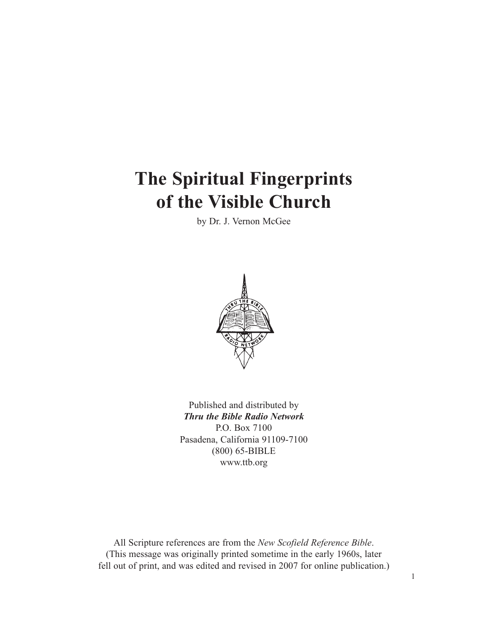# **The Spiritual Fingerprints of the Visible Church**

by Dr. J. Vernon McGee



Published and distributed by *Thru the Bible Radio Network* P.O. Box 7100 Pasadena, California 91109-7100 (800) 65-BIBLE www.ttb.org

All Scripture references are from the *New Scofield Reference Bible*. (This message was originally printed sometime in the early 1960s, later fell out of print, and was edited and revised in 2007 for online publication.)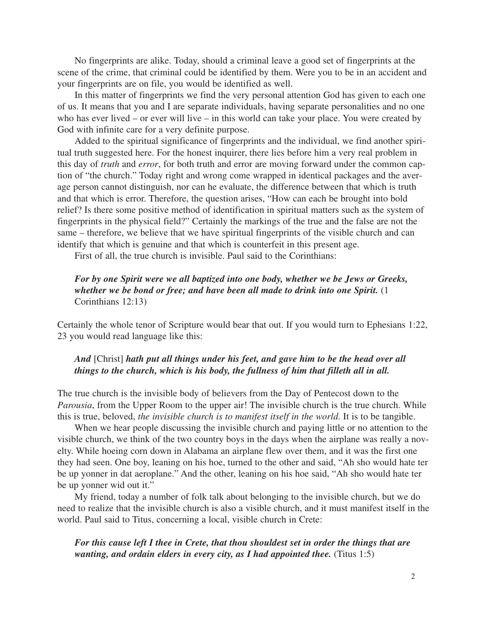No fingerprints are alike. Today, should a criminal leave a good set of fingerprints at the scene of the crime, that criminal could be identified by them. Were you to be in an accident and your fingerprints are on file, you would be identified as well.

In this matter of fingerprints we find the very personal attention God has given to each one of us. It means that you and I are separate individuals, having separate personalities and no one who has ever lived – or ever will live – in this world can take your place. You were created by God with infinite care for a very definite purpose.

Added to the spiritual significance of fingerprints and the individual, we find another spiritual truth suggested here. For the honest inquirer, there lies before him a very real problem in this day of *truth* and *error*, for both truth and error are moving forward under the common caption of "the church." Today right and wrong come wrapped in identical packages and the average person cannot distinguish, nor can he evaluate, the difference between that which is truth and that which is error. Therefore, the question arises, "How can each be brought into bold relief? Is there some positive method of identification in spiritual matters such as the system of fingerprints in the physical field?" Certainly the markings of the true and the false are not the same – therefore, we believe that we have spiritual fingerprints of the visible church and can identify that which is genuine and that which is counterfeit in this present age.

First of all, the true church is invisible. Paul said to the Corinthians:

# *For by one Spirit were we all baptized into one body, whether we be Jews or Greeks, whether we be bond or free; and have been all made to drink into one Spirit.* (1 Corinthians 12:13)

Certainly the whole tenor of Scripture would bear that out. If you would turn to Ephesians 1:22, 23 you would read language like this:

# *And* [Christ] *hath put all things under his feet, and gave him to be the head over all things to the church, which is his body, the fullness of him that filleth all in all.*

The true church is the invisible body of believers from the Day of Pentecost down to the *Parousia*, from the Upper Room to the upper air! The invisible church is the true church. While this is true, beloved, *the invisible church is to manifest itself in the world*. It is to be tangible.

When we hear people discussing the invisible church and paying little or no attention to the visible church, we think of the two country boys in the days when the airplane was really a novelty. While hoeing corn down in Alabama an airplane flew over them, and it was the first one they had seen. One boy, leaning on his hoe, turned to the other and said, "Ah sho would hate ter be up yonner in dat aeroplane." And the other, leaning on his hoe said, "Ah sho would hate ter be up yonner wid out it."

My friend, today a number of folk talk about belonging to the invisible church, but we do need to realize that the invisible church is also a visible church, and it must manifest itself in the world. Paul said to Titus, concerning a local, visible church in Crete:

*For this cause left I thee in Crete, that thou shouldest set in order the things that are wanting, and ordain elders in every city, as I had appointed thee.* (Titus 1:5)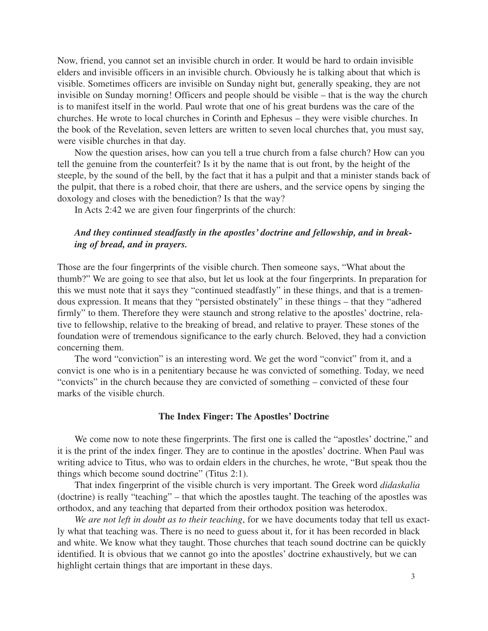Now, friend, you cannot set an invisible church in order. It would be hard to ordain invisible elders and invisible officers in an invisible church. Obviously he is talking about that which is visible. Sometimes officers are invisible on Sunday night but, generally speaking, they are not invisible on Sunday morning! Officers and people should be visible – that is the way the church is to manifest itself in the world. Paul wrote that one of his great burdens was the care of the churches. He wrote to local churches in Corinth and Ephesus – they were visible churches. In the book of the Revelation, seven letters are written to seven local churches that, you must say, were visible churches in that day.

Now the question arises, how can you tell a true church from a false church? How can you tell the genuine from the counterfeit? Is it by the name that is out front, by the height of the steeple, by the sound of the bell, by the fact that it has a pulpit and that a minister stands back of the pulpit, that there is a robed choir, that there are ushers, and the service opens by singing the doxology and closes with the benediction? Is that the way?

In Acts 2:42 we are given four fingerprints of the church:

# *And they continued steadfastly in the apostles' doctrine and fellowship, and in breaking of bread, and in prayers.*

Those are the four fingerprints of the visible church. Then someone says, "What about the thumb?" We are going to see that also, but let us look at the four fingerprints. In preparation for this we must note that it says they "continued steadfastly" in these things, and that is a tremendous expression. It means that they "persisted obstinately" in these things – that they "adhered firmly" to them. Therefore they were staunch and strong relative to the apostles' doctrine, relative to fellowship, relative to the breaking of bread, and relative to prayer. These stones of the foundation were of tremendous significance to the early church. Beloved, they had a conviction concerning them.

The word "conviction" is an interesting word. We get the word "convict" from it, and a convict is one who is in a penitentiary because he was convicted of something. Today, we need "convicts" in the church because they are convicted of something – convicted of these four marks of the visible church.

#### **The Index Finger: The Apostles' Doctrine**

We come now to note these fingerprints. The first one is called the "apostles' doctrine," and it is the print of the index finger. They are to continue in the apostles' doctrine. When Paul was writing advice to Titus, who was to ordain elders in the churches, he wrote, "But speak thou the things which become sound doctrine" (Titus 2:1).

That index fingerprint of the visible church is very important. The Greek word *didaskalia* (doctrine) is really "teaching" – that which the apostles taught. The teaching of the apostles was orthodox, and any teaching that departed from their orthodox position was heterodox.

*We are not left in doubt as to their teaching*, for we have documents today that tell us exactly what that teaching was. There is no need to guess about it, for it has been recorded in black and white. We know what they taught. Those churches that teach sound doctrine can be quickly identified. It is obvious that we cannot go into the apostles' doctrine exhaustively, but we can highlight certain things that are important in these days.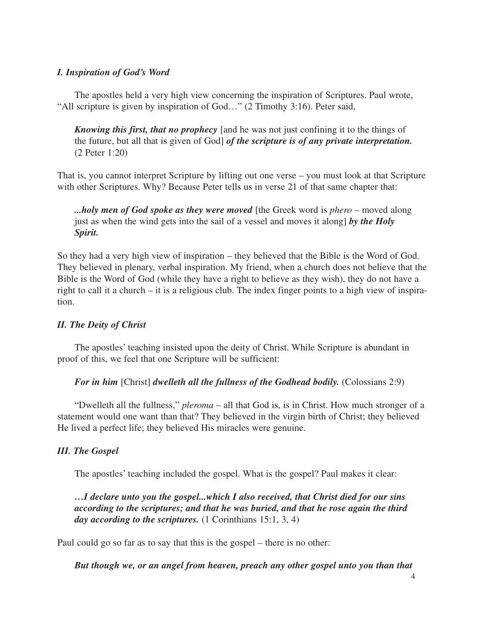## *I. Inspiration of God's Word*

The apostles held a very high view concerning the inspiration of Scriptures. Paul wrote, "All scripture is given by inspiration of God…" (2 Timothy 3:16). Peter said,

*Knowing this first, that no prophecy* [and he was not just confining it to the things of the future, but all that is given of God] *of the scripture is of any private interpretation.* (2 Peter 1:20)

That is, you cannot interpret Scripture by lifting out one verse – you must look at that Scripture with other Scriptures. Why? Because Peter tells us in verse 21 of that same chapter that:

*...holy men of God spoke as they were moved* [the Greek word is *phero* – moved along just as when the wind gets into the sail of a vessel and moves it along] *by the Holy Spirit.*

So they had a very high view of inspiration – they believed that the Bible is the Word of God. They believed in plenary, verbal inspiration. My friend, when a church does not believe that the Bible is the Word of God (while they have a right to believe as they wish), they do not have a right to call it a church – it is a religious club. The index finger points to a high view of inspiration.

# *II. The Deity of Christ*

The apostles' teaching insisted upon the deity of Christ. While Scripture is abundant in proof of this, we feel that one Scripture will be sufficient:

*For in him* [Christ] *dwelleth all the fullness of the Godhead bodily.* (Colossians 2:9)

"Dwelleth all the fullness," *pleroma* – all that God is, is in Christ. How much stronger of a statement would one want than that? They believed in the virgin birth of Christ; they believed He lived a perfect life; they believed His miracles were genuine.

# *III. The Gospel*

The apostles' teaching included the gospel. What is the gospel? Paul makes it clear:

*…I declare unto you the gospel...which I also received, that Christ died for our sins according to the scriptures; and that he was buried, and that he rose again the third* day according to the scriptures.  $(1$  Corinthians 15:1, 3, 4)

Paul could go so far as to say that this is the gospel – there is no other:

*But though we, or an angel from heaven, preach any other gospel unto you than that*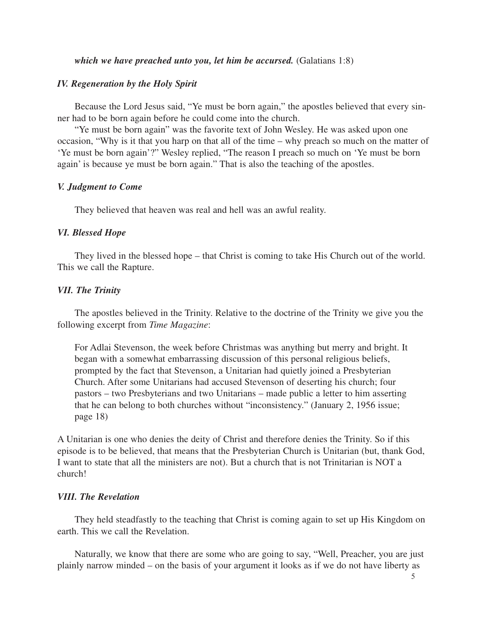#### *which we have preached unto you, let him be accursed.* (Galatians 1:8)

## *IV. Regeneration by the Holy Spirit*

Because the Lord Jesus said, "Ye must be born again," the apostles believed that every sinner had to be born again before he could come into the church.

"Ye must be born again" was the favorite text of John Wesley. He was asked upon one occasion, "Why is it that you harp on that all of the time – why preach so much on the matter of 'Ye must be born again'?" Wesley replied, "The reason I preach so much on 'Ye must be born again' is because ye must be born again." That is also the teaching of the apostles.

#### *V. Judgment to Come*

They believed that heaven was real and hell was an awful reality.

#### *VI. Blessed Hope*

They lived in the blessed hope – that Christ is coming to take His Church out of the world. This we call the Rapture.

#### *VII. The Trinity*

The apostles believed in the Trinity. Relative to the doctrine of the Trinity we give you the following excerpt from *Time Magazine*:

For Adlai Stevenson, the week before Christmas was anything but merry and bright. It began with a somewhat embarrassing discussion of this personal religious beliefs, prompted by the fact that Stevenson, a Unitarian had quietly joined a Presbyterian Church. After some Unitarians had accused Stevenson of deserting his church; four pastors – two Presbyterians and two Unitarians – made public a letter to him asserting that he can belong to both churches without "inconsistency." (January 2, 1956 issue; page 18)

A Unitarian is one who denies the deity of Christ and therefore denies the Trinity. So if this episode is to be believed, that means that the Presbyterian Church is Unitarian (but, thank God, I want to state that all the ministers are not). But a church that is not Trinitarian is NOT a church!

#### *VIII. The Revelation*

They held steadfastly to the teaching that Christ is coming again to set up His Kingdom on earth. This we call the Revelation.

Naturally, we know that there are some who are going to say, "Well, Preacher, you are just plainly narrow minded – on the basis of your argument it looks as if we do not have liberty as

5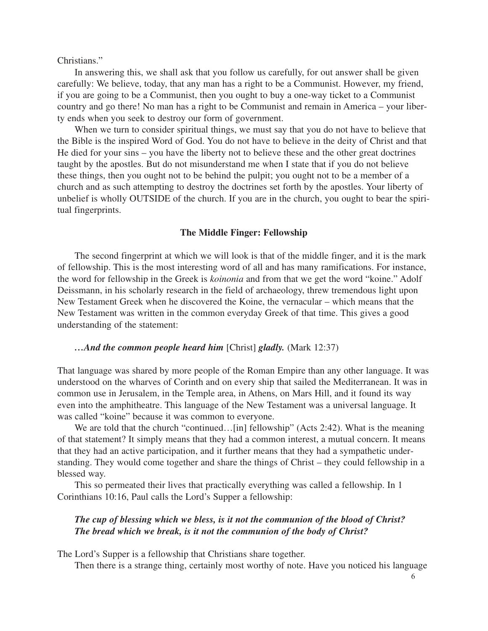Christians."

In answering this, we shall ask that you follow us carefully, for out answer shall be given carefully: We believe, today, that any man has a right to be a Communist. However, my friend, if you are going to be a Communist, then you ought to buy a one-way ticket to a Communist country and go there! No man has a right to be Communist and remain in America – your liberty ends when you seek to destroy our form of government.

When we turn to consider spiritual things, we must say that you do not have to believe that the Bible is the inspired Word of God. You do not have to believe in the deity of Christ and that He died for your sins – you have the liberty not to believe these and the other great doctrines taught by the apostles. But do not misunderstand me when I state that if you do not believe these things, then you ought not to be behind the pulpit; you ought not to be a member of a church and as such attempting to destroy the doctrines set forth by the apostles. Your liberty of unbelief is wholly OUTSIDE of the church. If you are in the church, you ought to bear the spiritual fingerprints.

#### **The Middle Finger: Fellowship**

The second fingerprint at which we will look is that of the middle finger, and it is the mark of fellowship. This is the most interesting word of all and has many ramifications. For instance, the word for fellowship in the Greek is *koinonia* and from that we get the word "koine." Adolf Deissmann, in his scholarly research in the field of archaeology, threw tremendous light upon New Testament Greek when he discovered the Koine, the vernacular – which means that the New Testament was written in the common everyday Greek of that time. This gives a good understanding of the statement:

## *…And the common people heard him* [Christ] *gladly.* (Mark 12:37)

That language was shared by more people of the Roman Empire than any other language. It was understood on the wharves of Corinth and on every ship that sailed the Mediterranean. It was in common use in Jerusalem, in the Temple area, in Athens, on Mars Hill, and it found its way even into the amphitheatre. This language of the New Testament was a universal language. It was called "koine" because it was common to everyone.

We are told that the church "continued...[in] fellowship" (Acts 2:42). What is the meaning of that statement? It simply means that they had a common interest, a mutual concern. It means that they had an active participation, and it further means that they had a sympathetic understanding. They would come together and share the things of Christ – they could fellowship in a blessed way.

This so permeated their lives that practically everything was called a fellowship. In 1 Corinthians 10:16, Paul calls the Lord's Supper a fellowship:

#### *The cup of blessing which we bless, is it not the communion of the blood of Christ? The bread which we break, is it not the communion of the body of Christ?*

The Lord's Supper is a fellowship that Christians share together.

Then there is a strange thing, certainly most worthy of note. Have you noticed his language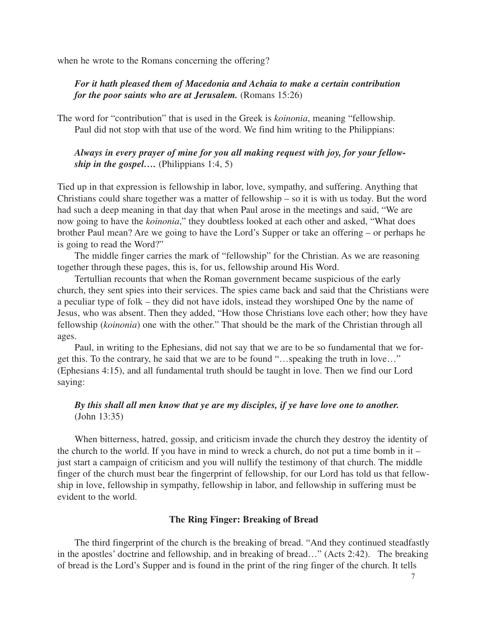when he wrote to the Romans concerning the offering?

# *For it hath pleased them of Macedonia and Achaia to make a certain contribution for the poor saints who are at Jerusalem.* (Romans 15:26)

The word for "contribution" that is used in the Greek is *koinonia*, meaning "fellowship. Paul did not stop with that use of the word. We find him writing to the Philippians:

# *Always in every prayer of mine for you all making request with joy, for your fellowship in the gospel....* (Philippians 1:4, 5)

Tied up in that expression is fellowship in labor, love, sympathy, and suffering. Anything that Christians could share together was a matter of fellowship – so it is with us today. But the word had such a deep meaning in that day that when Paul arose in the meetings and said, "We are now going to have the *koinonia*," they doubtless looked at each other and asked, "What does brother Paul mean? Are we going to have the Lord's Supper or take an offering – or perhaps he is going to read the Word?"

The middle finger carries the mark of "fellowship" for the Christian. As we are reasoning together through these pages, this is, for us, fellowship around His Word.

Tertullian recounts that when the Roman government became suspicious of the early church, they sent spies into their services. The spies came back and said that the Christians were a peculiar type of folk – they did not have idols, instead they worshiped One by the name of Jesus, who was absent. Then they added, "How those Christians love each other; how they have fellowship (*koinonia*) one with the other." That should be the mark of the Christian through all ages.

Paul, in writing to the Ephesians, did not say that we are to be so fundamental that we forget this. To the contrary, he said that we are to be found "…speaking the truth in love…" (Ephesians 4:15), and all fundamental truth should be taught in love. Then we find our Lord saying:

# *By this shall all men know that ye are my disciples, if ye have love one to another.* (John 13:35)

When bitterness, hatred, gossip, and criticism invade the church they destroy the identity of the church to the world. If you have in mind to wreck a church, do not put a time bomb in it  $$ just start a campaign of criticism and you will nullify the testimony of that church. The middle finger of the church must bear the fingerprint of fellowship, for our Lord has told us that fellowship in love, fellowship in sympathy, fellowship in labor, and fellowship in suffering must be evident to the world.

#### **The Ring Finger: Breaking of Bread**

The third fingerprint of the church is the breaking of bread. "And they continued steadfastly in the apostles' doctrine and fellowship, and in breaking of bread…" (Acts 2:42). The breaking of bread is the Lord's Supper and is found in the print of the ring finger of the church. It tells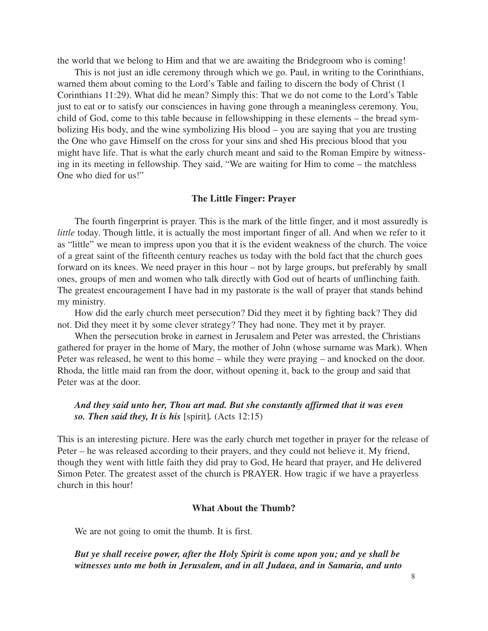the world that we belong to Him and that we are awaiting the Bridegroom who is coming!

This is not just an idle ceremony through which we go. Paul, in writing to the Corinthians, warned them about coming to the Lord's Table and failing to discern the body of Christ (1 Corinthians 11:29). What did he mean? Simply this: That we do not come to the Lord's Table just to eat or to satisfy our consciences in having gone through a meaningless ceremony. You, child of God, come to this table because in fellowshipping in these elements – the bread symbolizing His body, and the wine symbolizing His blood – you are saying that you are trusting the One who gave Himself on the cross for your sins and shed His precious blood that you might have life. That is what the early church meant and said to the Roman Empire by witnessing in its meeting in fellowship. They said, "We are waiting for Him to come – the matchless One who died for us!"

#### **The Little Finger: Prayer**

The fourth fingerprint is prayer. This is the mark of the little finger, and it most assuredly is *little* today. Though little, it is actually the most important finger of all. And when we refer to it as "little" we mean to impress upon you that it is the evident weakness of the church. The voice of a great saint of the fifteenth century reaches us today with the bold fact that the church goes forward on its knees. We need prayer in this hour – not by large groups, but preferably by small ones, groups of men and women who talk directly with God out of hearts of unflinching faith. The greatest encouragement I have had in my pastorate is the wall of prayer that stands behind my ministry.

How did the early church meet persecution? Did they meet it by fighting back? They did not. Did they meet it by some clever strategy? They had none. They met it by prayer.

When the persecution broke in earnest in Jerusalem and Peter was arrested, the Christians gathered for prayer in the home of Mary, the mother of John (whose surname was Mark). When Peter was released, he went to this home – while they were praying – and knocked on the door. Rhoda, the little maid ran from the door, without opening it, back to the group and said that Peter was at the door.

## *And they said unto her, Thou art mad. But she constantly affirmed that it was even so. Then said they, It is his* [spirit]*.* (Acts 12:15)

This is an interesting picture. Here was the early church met together in prayer for the release of Peter – he was released according to their prayers, and they could not believe it. My friend, though they went with little faith they did pray to God, He heard that prayer, and He delivered Simon Peter. The greatest asset of the church is PRAYER. How tragic if we have a prayerless church in this hour!

#### **What About the Thumb?**

We are not going to omit the thumb. It is first.

## *But ye shall receive power, after the Holy Spirit is come upon you; and ye shall be witnesses unto me both in Jerusalem, and in all Judaea, and in Samaria, and unto*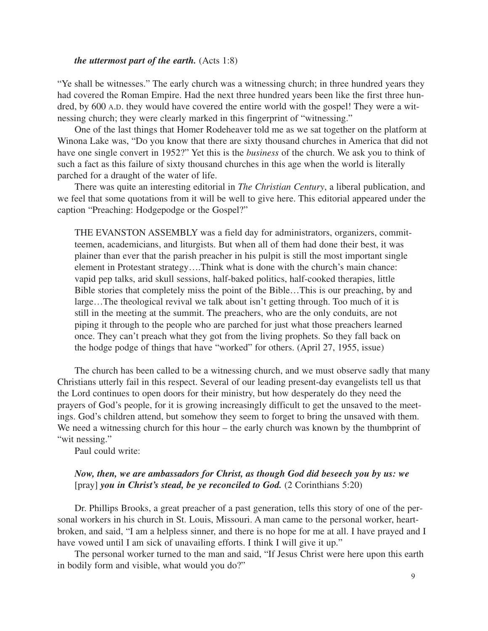#### *the uttermost part of the earth.* (Acts 1:8)

"Ye shall be witnesses." The early church was a witnessing church; in three hundred years they had covered the Roman Empire. Had the next three hundred years been like the first three hundred, by 600 A.D. they would have covered the entire world with the gospel! They were a witnessing church; they were clearly marked in this fingerprint of "witnessing."

One of the last things that Homer Rodeheaver told me as we sat together on the platform at Winona Lake was, "Do you know that there are sixty thousand churches in America that did not have one single convert in 1952?" Yet this is the *business* of the church. We ask you to think of such a fact as this failure of sixty thousand churches in this age when the world is literally parched for a draught of the water of life.

There was quite an interesting editorial in *The Christian Century*, a liberal publication, and we feel that some quotations from it will be well to give here. This editorial appeared under the caption "Preaching: Hodgepodge or the Gospel?"

THE EVANSTON ASSEMBLY was a field day for administrators, organizers, committeemen, academicians, and liturgists. But when all of them had done their best, it was plainer than ever that the parish preacher in his pulpit is still the most important single element in Protestant strategy….Think what is done with the church's main chance: vapid pep talks, arid skull sessions, half-baked politics, half-cooked therapies, little Bible stories that completely miss the point of the Bible…This is our preaching, by and large…The theological revival we talk about isn't getting through. Too much of it is still in the meeting at the summit. The preachers, who are the only conduits, are not piping it through to the people who are parched for just what those preachers learned once. They can't preach what they got from the living prophets. So they fall back on the hodge podge of things that have "worked" for others. (April 27, 1955, issue)

The church has been called to be a witnessing church, and we must observe sadly that many Christians utterly fail in this respect. Several of our leading present-day evangelists tell us that the Lord continues to open doors for their ministry, but how desperately do they need the prayers of God's people, for it is growing increasingly difficult to get the unsaved to the meetings. God's children attend, but somehow they seem to forget to bring the unsaved with them. We need a witnessing church for this hour – the early church was known by the thumbprint of "wit nessing."

Paul could write:

## *Now, then, we are ambassadors for Christ, as though God did beseech you by us: we* [pray] *you in Christ's stead, be ye reconciled to God.* (2 Corinthians 5:20)

Dr. Phillips Brooks, a great preacher of a past generation, tells this story of one of the personal workers in his church in St. Louis, Missouri. A man came to the personal worker, heartbroken, and said, "I am a helpless sinner, and there is no hope for me at all. I have prayed and I have vowed until I am sick of unavailing efforts. I think I will give it up."

The personal worker turned to the man and said, "If Jesus Christ were here upon this earth in bodily form and visible, what would you do?"